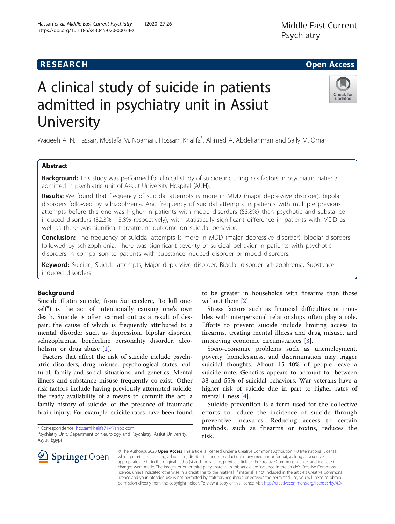## **RESEARCH CHE Open Access**

# A clinical study of suicide in patients admitted in psychiatry unit in Assiut University

Wageeh A. N. Hassan, Mostafa M. Noaman, Hossam Khalifa\* , Ahmed A. Abdelrahman and Sally M. Omar

## Abstract

Background: This study was performed for clinical study of suicide including risk factors in psychiatric patients admitted in psychiatric unit of Assiut University Hospital (AUH).

Results: We found that frequency of suicidal attempts is more in MDD (major depressive disorder), bipolar disorders followed by schizophrenia. And frequency of suicidal attempts in patients with multiple previous attempts before this one was higher in patients with mood disorders (53.8%) than psychotic and substanceinduced disorders (32.3%, 13.8% respectively), with statistically significant difference in patients with MDD as well as there was significant treatment outcome on suicidal behavior.

Conclusion: The frequency of suicidal attempts is more in MDD (major depressive disorder), bipolar disorders followed by schizophrenia. There was significant severity of suicidal behavior in patients with psychotic disorders in comparison to patients with substance-induced disorder or mood disorders.

Keyword: Suicide, Suicide attempts, Major depressive disorder, Bipolar disorder schizophrenia, Substanceinduced disorders

## Background

Suicide (Latin suicide, from Sui caedere, "to kill oneself") is the act of intentionally causing one's own death. Suicide is often carried out as a result of despair, the cause of which is frequently attributed to a mental disorder such as depression, bipolar disorder, schizophrenia, borderline personality disorder, alco-holism, or drug abuse [[1\]](#page-6-0).

Factors that affect the risk of suicide include psychiatric disorders, drug misuse, psychological states, cultural, family and social situations, and genetics. Mental illness and substance misuse frequently co-exist. Other risk factors include having previously attempted suicide, the ready availability of a means to commit the act, a family history of suicide, or the presence of traumatic brain injury. For example, suicide rates have been found

\* Correspondence: [hossamkhalifa71@Yahoo.com](mailto:hossamkhalifa71@Yahoo.com)

to be greater in households with firearms than those without them [\[2](#page-6-0)].

Stress factors such as financial difficulties or troubles with interpersonal relationships often play a role. Efforts to prevent suicide include limiting access to firearms, treating mental illness and drug misuse, and improving economic circumstances [[3\]](#page-6-0).

Socio-economic problems such as unemployment, poverty, homelessness, and discrimination may trigger suicidal thoughts. About 15–40% of people leave a suicide note. Genetics appears to account for between 38 and 55% of suicidal behaviors. War veterans have a higher risk of suicide due in part to higher rates of mental illness [[4\]](#page-6-0).

Suicide prevention is a term used for the collective efforts to reduce the incidence of suicide through preventive measures. Reducing access to certain methods, such as firearms or toxins, reduces the risk.

© The Author(s). 2020 Open Access This article is licensed under a Creative Commons Attribution 4.0 International License, which permits use, sharing, adaptation, distribution and reproduction in any medium or format, as long as you give appropriate credit to the original author(s) and the source, provide a link to the Creative Commons licence, and indicate if changes were made. The images or other third party material in this article are included in the article's Creative Commons licence, unless indicated otherwise in a credit line to the material. If material is not included in the article's Creative Commons licence and your intended use is not permitted by statutory regulation or exceeds the permitted use, you will need to obtain permission directly from the copyright holder. To view a copy of this licence, visit <http://creativecommons.org/licenses/by/4.0/>.



Check for updates



Psychiatry Unit, Department of Neurology and Psychiatry, Assiut University, Asyut, Egypt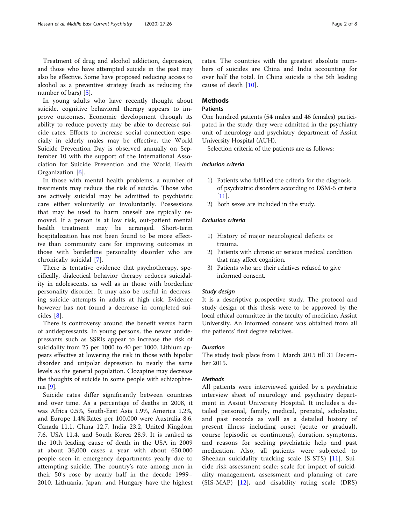In young adults who have recently thought about suicide, cognitive behavioral therapy appears to improve outcomes. Economic development through its ability to reduce poverty may be able to decrease suicide rates. Efforts to increase social connection especially in elderly males may be effective, the World Suicide Prevention Day is observed annually on September 10 with the support of the International Association for Suicide Prevention and the World Health Organization [\[6](#page-6-0)].

In those with mental health problems, a number of treatments may reduce the risk of suicide. Those who are actively suicidal may be admitted to psychiatric care either voluntarily or involuntarily. Possessions that may be used to harm oneself are typically removed. If a person is at low risk, out-patient mental health treatment may be arranged. Short-term hospitalization has not been found to be more effective than community care for improving outcomes in those with borderline personality disorder who are chronically suicidal [[7](#page-6-0)].

There is tentative evidence that psychotherapy, specifically, dialectical behavior therapy reduces suicidality in adolescents, as well as in those with borderline personality disorder. It may also be useful in decreasing suicide attempts in adults at high risk. Evidence however has not found a decrease in completed suicides [[8\]](#page-6-0).

There is controversy around the benefit versus harm of antidepressants. In young persons, the newer antidepressants such as SSRIs appear to increase the risk of suicidality from 25 per 1000 to 40 per 1000. Lithium appears effective at lowering the risk in those with bipolar disorder and unipolar depression to nearly the same levels as the general population. Clozapine may decrease the thoughts of suicide in some people with schizophrenia [\[9](#page-6-0)].

Suicide rates differ significantly between countries and over time. As a percentage of deaths in 2008, it was Africa 0.5%, South-East Asia 1.9%, America 1.2%, and Europe 1.4%.Rates per 100,000 were Australia 8.6, Canada 11.1, China 12.7, India 23.2, United Kingdom 7.6, USA 11.4, and South Korea 28.9. It is ranked as the 10th leading cause of death in the USA in 2009 at about 36,000 cases a year with about 650,000 people seen in emergency departments yearly due to attempting suicide. The country's rate among men in their 50's rose by nearly half in the decade 1999– 2010. Lithuania, Japan, and Hungary have the highest

rates. The countries with the greatest absolute numbers of suicides are China and India accounting for over half the total. In China suicide is the 5th leading cause of death [[10\]](#page-6-0).

## **Methods**

## Patients

One hundred patients (54 males and 46 females) participated in the study; they were admitted in the psychiatry unit of neurology and psychiatry department of Assiut University Hospital (AUH).

Selection criteria of the patients are as follows:

## Inclusion criteria

- 1) Patients who fulfilled the criteria for the diagnosis of psychiatric disorders according to DSM-5 criteria [[11](#page-6-0)].
- 2) Both sexes are included in the study.

## Exclusion criteria

- 1) History of major neurological deficits or trauma.
- 2) Patients with chronic or serious medical condition that may affect cognition.
- 3) Patients who are their relatives refused to give informed consent.

## Study design

It is a descriptive prospective study. The protocol and study design of this thesis were to be approved by the local ethical committee in the faculty of medicine, Assiut University. An informed consent was obtained from all the patients' first degree relatives.

## Duration

The study took place from 1 March 2015 till 31 December 2015.

## Methods

All patients were interviewed guided by a psychiatric interview sheet of neurology and psychiatry department in Assiut University Hospital. It includes a detailed personal, family, medical, prenatal, scholastic, and past records as well as a detailed history of present illness including onset (acute or gradual), course (episodic or continuous), duration, symptoms, and reasons for seeking psychiatric help and past medication. Also, all patients were subjected to Sheehan suicidality tracking scale (S-STS) [\[11\]](#page-6-0). Suicide risk assessment scale: scale for impact of suicidality management, assessment and planning of care (SIS-MAP) [[12](#page-6-0)], and disability rating scale (DRS)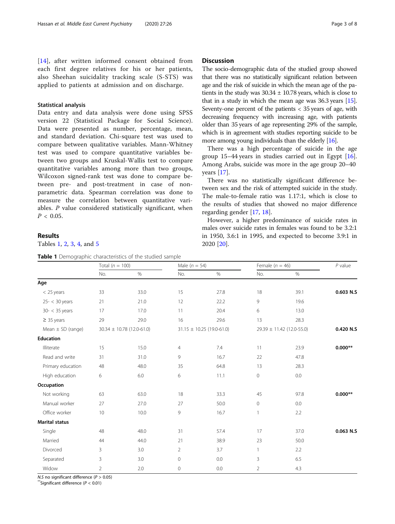[[14](#page-6-0)], after written informed consent obtained from each first degree relatives for his or her patients, also Sheehan suicidality tracking scale (S-STS) was applied to patients at admission and on discharge.

## Statistical analysis

Data entry and data analysis were done using SPSS version 22 (Statistical Package for Social Science). Data were presented as number, percentage, mean, and standard deviation. Chi-square test was used to compare between qualitative variables. Mann-Whitney test was used to compare quantitative variables between two groups and Kruskal-Wallis test to compare quantitative variables among more than two groups, Wilcoxon signed-rank test was done to compare between pre- and post-treatment in case of nonparametric data. Spearman correlation was done to measure the correlation between quantitative variables. P value considered statistically significant, when  $P < 0.05$ .

## Results

Tables 1, [2](#page-3-0), [3](#page-3-0), [4](#page-3-0), and [5](#page-4-0)

## Table 1 Demographic characteristics of the studied sample

## **Discussion**

The socio-demographic data of the studied group showed that there was no statistically significant relation between age and the risk of suicide in which the mean age of the patients in the study was  $30.34 \pm 10.78$  years, which is close to that in a study in which the mean age was 36.3 years [\[15](#page-6-0)]. Seventy-one percent of the patients < 35 years of age, with decreasing frequency with increasing age, with patients older than 35 years of age representing 29% of the sample, which is in agreement with studies reporting suicide to be more among young individuals than the elderly [\[16\]](#page-6-0).

There was a high percentage of suicide in the age group 15–44 years in studies carried out in Egypt  $[16]$  $[16]$ . Among Arabs, suicide was more in the age group 20–40 years [\[17](#page-6-0)].

There was no statistically significant difference between sex and the risk of attempted suicide in the study. The male-to-female ratio was 1.17:1, which is close to the results of studies that showed no major difference regarding gender [\[17](#page-6-0), [18](#page-6-0)].

However, a higher predominance of suicide rates in males over suicide rates in females was found to be 3.2:1 in 1950, 3.6:1 in 1995, and expected to become 3.9:1 in 2020 [\[20](#page-6-0)].

|                       | Total ( $n = 100$ )           |      | Male ( $n = 54$ )             |      | Female ( $n = 46$ )           |      | $P$ value |
|-----------------------|-------------------------------|------|-------------------------------|------|-------------------------------|------|-----------|
|                       | No.                           | $\%$ | No.                           | $\%$ | No.                           | $\%$ |           |
| Age                   |                               |      |                               |      |                               |      |           |
| $<$ 25 years          | 33                            | 33.0 | 15                            | 27.8 | 18                            | 39.1 | 0.603 N.S |
| $25 - < 30$ years     | 21                            | 21.0 | 12                            | 22.2 | 9                             | 19.6 |           |
| $30 - < 35$ years     | 17                            | 17.0 | 11                            | 20.4 | 6                             | 13.0 |           |
| $\geq$ 35 years       | 29                            | 29.0 | 16                            | 29.6 | 13                            | 28.3 |           |
| Mean $\pm$ SD (range) | $30.34 \pm 10.78$ (12.0-61.0) |      | $31.15 \pm 10.25$ (19.0-61.0) |      | $29.39 \pm 11.42$ (12.0-55.0) |      | 0.420 N.S |
| <b>Education</b>      |                               |      |                               |      |                               |      |           |
| Illiterate            | 15                            | 15.0 | 4                             | 7.4  | 11                            | 23.9 | $0.000**$ |
| Read and write        | 31                            | 31.0 | 9                             | 16.7 | 22                            | 47.8 |           |
| Primary education     | 48                            | 48.0 | 35                            | 64.8 | 13                            | 28.3 |           |
| High education        | 6                             | 6.0  | 6                             | 11.1 | 0                             | 0.0  |           |
| Occupation            |                               |      |                               |      |                               |      |           |
| Not working           | 63                            | 63.0 | 18                            | 33.3 | 45                            | 97.8 | $0.000**$ |
| Manual worker         | 27                            | 27.0 | 27                            | 50.0 | $\overline{0}$                | 0.0  |           |
| Office worker         | 10                            | 10.0 | 9                             | 16.7 | $\mathbf{1}$                  | 2.2  |           |
| <b>Marital status</b> |                               |      |                               |      |                               |      |           |
| Single                | 48                            | 48.0 | 31                            | 57.4 | 17                            | 37.0 | 0.063 N.S |
| Married               | 44                            | 44.0 | 21                            | 38.9 | 23                            | 50.0 |           |
| Divorced              | 3                             | 3.0  | $\overline{2}$                | 3.7  | 1                             | 2.2  |           |
| Separated             | 3                             | 3.0  | $\mathbf{0}$                  | 0.0  | 3                             | 6.5  |           |
| Widow                 | 2                             | 2.0  | 0                             | 0.0  | $\overline{2}$                | 4.3  |           |

V.S no significant difference (*P* > 0.<br><sup>\*</sup>Significant difference (*P <* 0.01)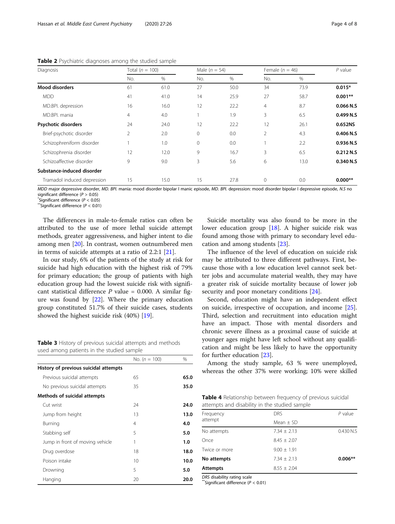| Diagnosis                   | Total ( $n = 100$ ) |      | Male $(n = 54)$ |      | Female ( $n = 46$ ) |      | $P$ value |
|-----------------------------|---------------------|------|-----------------|------|---------------------|------|-----------|
|                             | No.                 | %    | No.             | %    | No.                 | $\%$ |           |
| <b>Mood disorders</b>       | 61                  | 61.0 | 27              | 50.0 | 34                  | 73.9 | $0.015*$  |
| <b>MDD</b>                  | 41                  | 41.0 | 14              | 25.9 | 27                  | 58.7 | $0.001**$ |
| MD.BPI. depression          | 16                  | 16.0 | 12              | 22.2 | $\overline{4}$      | 8.7  | 0.066 N.S |
| MD.BPI, mania               | $\overline{4}$      | 4.0  |                 | 1.9  | 3                   | 6.5  | 0.499 N.S |
| Psychotic disorders         | 24                  | 24.0 | 12              | 22.2 | 12                  | 26.1 | 0.652NS   |
| Brief-psychotic disorder    | $\overline{2}$      | 2.0  | $\mathbf{0}$    | 0.0  | $\overline{2}$      | 4.3  | 0.406 N.S |
| Schizophreniform disorder   |                     | 1.0  | $\mathbf{0}$    | 0.0  |                     | 2.2  | 0.936 N.S |
| Schizophrenia disorder      | 12                  | 12.0 | 9               | 16.7 | 3                   | 6.5  | 0.212 N.S |
| Schizoaffective disorder    | 9                   | 9.0  | 3               | 5.6  | 6                   | 13.0 | 0.340 N.S |
| Substance-induced disorder  |                     |      |                 |      |                     |      |           |
| Tramadol induced depression | 15                  | 15.0 | 15              | 27.8 | $\mathbf{0}$        | 0.0  | $0.000**$ |

<span id="page-3-0"></span>Table 2 Psychiatric diagnoses among the studied sample

MDD major depressive disorder, MD. BPI. mania: mood disorder bipolar I manic episode, MD. BPI. depression: mood disorder bipolar I depressive episode, N.S no significant difference ( $P > 0.05$ )<br>\*Significant difference ( $P < 0.05$ )

 $\sqrt[4]{}$ Significant difference ( $P < 0.01$ )

The differences in male-to-female ratios can often be attributed to the use of more lethal suicide attempt methods, greater aggressiveness, and higher intent to die among men [\[20\]](#page-6-0). In contrast, women outnumbered men in terms of suicide attempts at a ratio of 2.2:1 [[21\]](#page-6-0).

In our study, 6% of the patients of the study at risk for suicide had high education with the highest risk of 79% for primary education; the group of patients with high education group had the lowest suicide risk with significant statistical difference  $P$  value = 0.000. A similar figure was found by [\[22](#page-6-0)]. Where the primary education group constituted 51.7% of their suicide cases, students showed the highest suicide risk (40%) [\[19](#page-6-0)].

Table 3 History of previous suicidal attempts and methods used among patients in the studied sample

|                                       | No. ( $n = 100$ ) | $\%$ |
|---------------------------------------|-------------------|------|
| History of previous suicidal attempts |                   |      |
| Previous suicidal attempts            | 65                | 65.0 |
| No previous suicidal attempts         | 35                | 35.0 |
| Methods of suicidal attempts          |                   |      |
| Cut wrist                             | 24                | 24.0 |
| Jump from height                      | 13                | 13.0 |
| Burning                               | 4                 | 4.0  |
| Stabbing self                         | 5                 | 5.0  |
| Jump in front of moving vehicle       | 1                 | 1.0  |
| Drug overdose                         | 18                | 18.0 |
| Poison intake                         | 10                | 10.0 |
| Drowning                              | 5                 | 5.0  |
| Hanging                               | 20                | 20.0 |

Suicide mortality was also found to be more in the lower education group [[18\]](#page-6-0). A higher suicide risk was found among those with primary to secondary level education and among students [[23\]](#page-6-0).

The influence of the level of education on suicide risk may be attributed to three different pathways. First, because those with a low education level cannot seek better jobs and accumulate material wealth, they may have a greater risk of suicide mortality because of lower job security and poor monetary conditions [[24\]](#page-6-0).

Second, education might have an independent effect on suicide, irrespective of occupation, and income [\[25](#page-6-0)]. Third, selection and recruitment into education might have an impact. Those with mental disorders and chronic severe illness as a proximal cause of suicide at younger ages might have left school without any qualification and might be less likely to have the opportunity for further education [[23\]](#page-6-0).

Among the study sample, 63 % were unemployed, whereas the other 37% were working; 10% were skilled

Table 4 Relationship between frequency of previous suicidal attempts and disability in the studied sample

| Frequency       | <b>DRS</b>      | $P$ value |
|-----------------|-----------------|-----------|
| attempt         | Mean $\pm$ SD   |           |
| No attempts     | $7.34 + 2.13$   | 0.430 N.S |
| Once            | $8.45 + 2.07$   |           |
| Twice or more   | $9.00 \pm 1.91$ |           |
| No attempts     | $7.34 + 2.13$   | $0.006**$ |
| <b>Attempts</b> | $8.55 \pm 2.04$ |           |

DRS disability rating scale<br>
\*\*Significant difference ( $P < 0.01$ )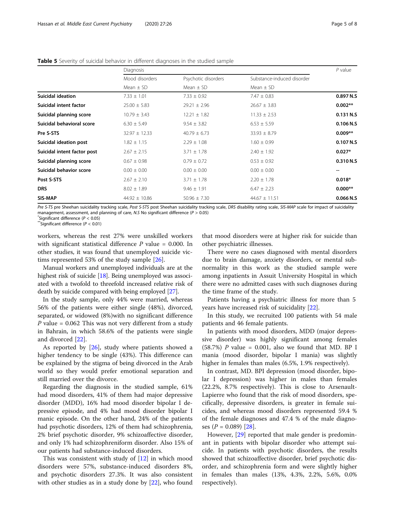|                             | Diagnosis         |                     |                            | $P$ value |
|-----------------------------|-------------------|---------------------|----------------------------|-----------|
|                             | Mood disorders    | Psychotic disorders | Substance-induced disorder |           |
|                             | Mean $\pm$ SD     | Mean $\pm$ SD       | Mean $\pm$ SD              |           |
| Suicidal ideation           | $7.33 \pm 1.01$   | $7.33 \pm 0.92$     | $7.47 \pm 0.83$            | 0.897 N.S |
| Suicidal intent factor      | $25.00 \pm 5.83$  | $29.21 \pm 2.96$    | $26.67 \pm 3.83$           | $0.002**$ |
| Suicidal planning score     | $10.79 \pm 3.43$  | $12.21 \pm 1.82$    | $11.33 \pm 2.53$           | 0.131 N.S |
| Suicidal behavioral score   | $6.30 \pm 5.49$   | $9.54 \pm 3.82$     | $6.53 \pm 5.59$            | 0.106 N.S |
| Pre S-STS                   | $32.97 \pm 12.33$ | $40.79 \pm 6.73$    | $33.93 \pm 8.79$           | $0.009**$ |
| Suicidal ideation post      | $1.82 \pm 1.15$   | $2.29 \pm 1.08$     | $1.60 \pm 0.99$            | 0.107 N.S |
| Suicidal intent factor post | $2.67 \pm 2.15$   | $3.71 \pm 1.78$     | $2.40 \pm 1.92$            | $0.027*$  |
| Suicidal planning score     | $0.67 \pm 0.98$   | $0.79 \pm 0.72$     | $0.53 \pm 0.92$            | 0.310 N.S |
| Suicidal behavior score     | $0.00 \pm 0.00$   | $0.00 \pm 0.00$     | $0.00 \pm 0.00$            | --        |
| Post S-STS                  | $2.67 \pm 2.10$   | $3.71 \pm 1.78$     | $2.20 \pm 1.78$            | $0.018*$  |
| <b>DRS</b>                  | $8.02 \pm 1.89$   | $9.46 \pm 1.91$     | $6.47 \pm 2.23$            | $0.000**$ |
| SIS-MAP                     | $44.92 \pm 10.86$ | $50.96 \pm 7.30$    | $44.67 \pm 11.51$          | 0.066 N.S |

<span id="page-4-0"></span>Table 5 Severity of suicidal behavior in different diagnoses in the studied sample

Pre S-TS pre Sheehan suicidality tracking scale, Post S-STS post Sheehan suicidality tracking scale, DRS disability rating scale, SIS-MAP scale for impact of suicidality management, assessment, and planning of care, N.S No significant difference ( $P > 0.05$ )

 $\degree$ Significant difference (P < 0.05)<br> $\degree$ Significant difference (P < 0.01)

workers, whereas the rest 27% were unskilled workers with significant statistical difference  $P$  value = 0.000. In other studies, it was found that unemployed suicide victims represented 53% of the study sample [[26\]](#page-6-0).

Manual workers and unemployed individuals are at the highest risk of suicide [\[18\]](#page-6-0). Being unemployed was associated with a twofold to threefold increased relative risk of death by suicide compared with being employed [\[27\]](#page-6-0).

In the study sample, only 44% were married, whereas 56% of the patients were either single (48%), divorced, separated, or widowed (8%)with no significant difference P value =  $0.062$  This was not very different from a study in Bahrain, in which 58.6% of the patients were single and divorced [[22\]](#page-6-0).

As reported by [\[26](#page-6-0)], study where patients showed a higher tendency to be single (43%). This difference can be explained by the stigma of being divorced in the Arab world so they would prefer emotional separation and still married over the divorce.

Regarding the diagnosis in the studied sample, 61% had mood disorders, 41% of them had major depressive disorder (MDD), 16% had mood disorder bipolar I depressive episode, and 4% had mood disorder bipolar I manic episode. On the other hand, 24% of the patients had psychotic disorders, 12% of them had schizophrenia, 2% brief psychotic disorder, 9% schizoaffective disorder, and only 1% had schizophreniform disorder. Also 15% of our patients had substance-induced disorders.

This was consistent with study of [\[12\]](#page-6-0) in which mood disorders were 57%, substance-induced disorders 8%, and psychotic disorders 27.3%. It was also consistent with other studies as in a study done by [[22\]](#page-6-0), who found

that mood disorders were at higher risk for suicide than other psychiatric illnesses.

There were no cases diagnosed with mental disorders due to brain damage, anxiety disorders, or mental subnormality in this work as the studied sample were among inpatients in Assuit University Hospital in which there were no admitted cases with such diagnoses during the time frame of the study.

Patients having a psychiatric illness for more than 5 years have increased risk of suicidality [[22\]](#page-6-0).

In this study, we recruited 100 patients with 54 male patients and 46 female patients.

In patients with mood disorders, MDD (major depressive disorder) was highly significant among females  $(58.7%)$  P value = 0.001, also we found that MD. BP I mania (mood disorder, bipolar I mania) was slightly higher in females than males (6.5%, 1.9% respectively).

In contrast, MD. BPI depression (mood disorder, bipolar I depression) was higher in males than females (22.2%, 8.7% respectively). This is close to Arsenault-Lapierre who found that the risk of mood disorders, specifically, depressive disorders, is greater in female suicides, and whereas mood disorders represented 59.4 % of the female diagnoses and 47.4 % of the male diagnoses  $(P = 0.089)$  [[28\]](#page-6-0).

However, [[29\]](#page-6-0) reported that male gender is predominant in patients with bipolar disorder who attempt suicide. In patients with psychotic disorders, the results showed that schizoaffective disorder, brief psychotic disorder, and schizophrenia form and were slightly higher in females than males (13%, 4.3%, 2.2%, 5.6%, 0.0% respectively).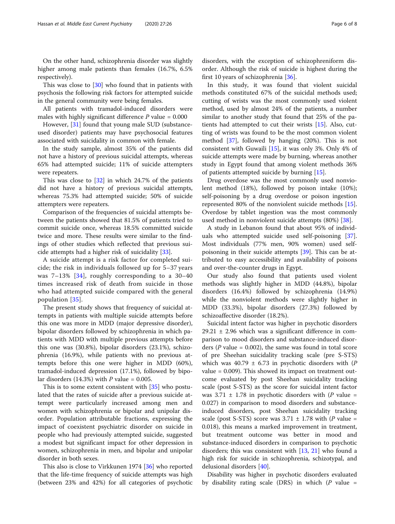On the other hand, schizophrenia disorder was slightly higher among male patients than females (16.7%, 6.5% respectively).

This was close to [[30\]](#page-6-0) who found that in patients with psychosis the following risk factors for attempted suicide in the general community were being females.

All patients with tramadol-induced disorders were males with highly significant difference  $P$  value = 0.000

However, [\[31](#page-6-0)] found that young male SUD (substanceused disorder) patients may have psychosocial features associated with suicidality in common with female.

In the study sample, almost 35% of the patients did not have a history of previous suicidal attempts, whereas 65% had attempted suicide; 11% of suicide attempters were repeaters.

This was close to [\[32\]](#page-7-0) in which 24.7% of the patients did not have a history of previous suicidal attempts, whereas 75.3% had attempted suicide; 50% of suicide attempters were repeaters.

Comparison of the frequencies of suicidal attempts between the patients showed that 81.5% of patients tried to commit suicide once, whereas 18.5% committed suicide twice and more. These results were similar to the findings of other studies which reflected that previous suicide attempts had a higher risk of suicidality [[33](#page-7-0)].

A suicide attempt is a risk factor for completed suicide; the risk in individuals followed up for 5–37 years was 7–13% [[34](#page-7-0)], roughly corresponding to a 30–40 times increased risk of death from suicide in those who had attempted suicide compared with the general population [[35](#page-7-0)].

The present study shows that frequency of suicidal attempts in patients with multiple suicide attempts before this one was more in MDD (major depressive disorder), bipolar disorders followed by schizophrenia in which patients with MDD with multiple previous attempts before this one was (30.8%), bipolar disorders (23.1%), schizophrenia (16.9%), while patients with no previous attempts before this one were higher in MDD (60%), tramadol-induced depression (17.1%), followed by bipolar disorders (14.3%) with  $P$  value = 0.005.

This is to some extent consistent with [\[35\]](#page-7-0) who postulated that the rates of suicide after a previous suicide attempt were particularly increased among men and women with schizophrenia or bipolar and unipolar disorder. Population attributable fractions, expressing the impact of coexistent psychiatric disorder on suicide in people who had previously attempted suicide, suggested a modest but significant impact for other depression in women, schizophrenia in men, and bipolar and unipolar disorder in both sexes.

This also is close to Virkkunen 1974 [[36\]](#page-7-0) who reported that the life-time frequency of suicide attempts was high (between 23% and 42%) for all categories of psychotic

disorders, with the exception of schizophreniform disorder. Although the risk of suicide is highest during the first 10 years of schizophrenia [[36](#page-7-0)].

In this study, it was found that violent suicidal methods constituted 67% of the suicidal methods used; cutting of wrists was the most commonly used violent method, used by almost 24% of the patients, a number similar to another study that found that 25% of the patients had attempted to cut their wrists [\[15](#page-6-0)]. Also, cutting of wrists was found to be the most common violent method [[37\]](#page-7-0), followed by hanging (20%). This is not consistent with Guwaili [\[15](#page-6-0)], it was only 3%. Only 4% of suicide attempts were made by burning, whereas another study in Egypt found that among violent methods 36% of patients attempted suicide by burning [[15\]](#page-6-0).

Drug overdose was the most commonly used nonviolent method (18%), followed by poison intake (10%); self-poisoning by a drug overdose or poison ingestion represented 80% of the nonviolent suicide methods [\[15](#page-6-0)]. Overdose by tablet ingestion was the most commonly used method in nonviolent suicide attempts (80%) [[38\]](#page-7-0).

A study in Lebanon found that about 95% of individuals who attempted suicide used self-poisoning [\[37](#page-7-0)]. Most individuals (77% men, 90% women) used selfpoisoning in their suicide attempts [\[39](#page-7-0)]. This can be attributed to easy accessibility and availability of poisons and over-the-counter drugs in Egypt.

Our study also found that patients used violent methods was slightly higher in MDD (44.8%), bipolar disorders (16.4%) followed by schizophrenia (14.9%) while the nonviolent methods were slightly higher in MDD (33.3%), bipolar disorders (27.3%) followed by schizoaffective disorder (18.2%).

Suicidal intent factor was higher in psychotic disorders  $29.21 \pm 2.96$  which was a significant difference in comparison to mood disorders and substance-induced disorders ( $P$  value = 0.002), the same was found in total score of pre Sheehan suicidality tracking scale (pre S-STS) which was  $40.79 \pm 6.73$  in psychotic disorders with (P value = 0.009). This showed its impact on treatment outcome evaluated by post Sheehan suicidality tracking scale (post S-STS) as the score for suicidal intent factor was  $3.71 \pm 1.78$  in psychotic disorders with (P value = 0.027) in comparison to mood disorders and substanceinduced disorders, post Sheehan suicidality tracking scale (post S-STS) score was  $3.71 \pm 1.78$  with (P value = 0.018), this means a marked improvement in treatment, but treatment outcome was better in mood and substance-induced disorders in comparison to psychotic disorders; this was consistent with [[13,](#page-6-0) [21](#page-6-0)] who found a high risk for suicide in schizophrenia, schizotypal, and delusional disorders [[40](#page-7-0)].

Disability was higher in psychotic disorders evaluated by disability rating scale (DRS) in which  $(P \text{ value } =$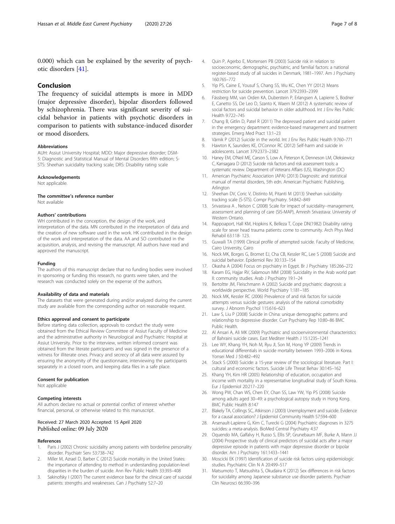<span id="page-6-0"></span>0.000) which can be explained by the severity of psychotic disorders [\[41](#page-7-0)].

## Conclusion

The frequency of suicidal attempts is more in MDD (major depressive disorder), bipolar disorders followed by schizophrenia. There was significant severity of suicidal behavior in patients with psychotic disorders in comparison to patients with substance-induced disorder or mood disorders.

## Abbreviations

AUH: Assiut University Hospital; MDD: Major depressive disorder; DSM-5: Diagnostic and Statistical Manual of Mental Disorders fifth edition; S-STS: Sheehan suicidality tracking scale; DRS: Disability rating scale

#### Acknowledgements

Not applicable.

## The committee's reference number

Not available

## Authors' contributions

WH contributed in the conception, the design of the work, and interpretation of the data. MN contributed in the interpretation of data and the creation of new software used in the work. HK contributed in the design of the work and interpretation of the data. AA and SO contributed in the acquisition, analysis, and revising the manuscript. All authors have read and approved the manuscript.

#### Funding

The authors of this manuscript declare that no funding bodies were involved in sponsoring or funding this research, no grants were taken, and the research was conducted solely on the expense of the authors.

#### Availability of data and materials

The datasets that were generated during and/or analyzed during the current study are available from the corresponding author on reasonable request.

#### Ethics approval and consent to participate

Before starting data collection, approvals to conduct the study were obtained from the Ethical Review Committee of Assiut Faculty of Medicine and the administrative authority in Neurological and Psychiatric Hospital at Assiut University. Prior to the interview, written informed consent was obtained from the literate participants and was signed in the presence of a witness for illiterate ones. Privacy and secrecy of all data were assured by ensuring the anonymity of the questionnaire, interviewing the participants separately in a closed room, and keeping data files in a safe place.

#### Consent for publication

Not applicable

#### Competing interests

All authors declare no actual or potential conflict of interest whether financial, personal, or otherwise related to this manuscript.

#### Received: 27 March 2020 Accepted: 15 April 2020 Published online: 09 July 2020

#### References

- 1. Paris J (2002) Chronic suicidality among patients with borderline personality disorder. Psychiatr Serv 53:738–742
- Miller M, Azrael D, Barber C (2012) Suicide mortality in the United States: the importance of attending to method in understanding population-level disparities in the burden of suicide. Ann Rev Public Health 33:393–408
- Sakinofsky I (2007) The current evidence base for the clinical care of suicidal patients: strengths and weaknesses. Can J Psychiatry 52:7–20
- 4. Quin P, Agerbo E, Mortensen PB (2003) Suicide risk in relation to socioeconomic, demographic, psychiatric, and familial factors: a national register-based study of all suicides in Denmark, 1981–1997. Am J Psychiatry 160:765–772
- 5. Yip PS, Caine E, Yousuf S, Chang SS, Wu KC, Chen YY (2012) Means restriction for suicide prevention. Lancet 379:2393–2399
- 6. Fässberg MM, van Orden KA, Duberstein P, Erlangsen A, Lapierre S, Bodner E, Canetto SS, De Leo D, Szanto K, Waern M (2012) A systematic review of social factors and suicidal behavior in older adulthood. Int J Env Res Public Health 9:722–745
- 7. Chang B, Gitlin D, Patel R (2011) The depressed patient and suicidal patient in the emergency department: evidence-based management and treatment strategies. Emerg Med Pract 13:1–23
- 8. Värnik P (2012) Suicide in the world. Int J Env Res Public Health 9:760–771
- 9. Hawton K, Saunders KE, O'Connor RC (2012) Self-harm and suicide in adolescents. Lancet 379:2373–2382
- 10. Haney EM, O'Neil ME, Carson S, Low A, Peterson K, Denneson LM, Oleksiewicz C, Kansagara D (2012) Suicide risk factors and risk assessment tools: a systematic review. Department of Veterans Affairs (US), Washington (DC)
- 11. American Psychiatric Association (APA) (2013) Diagnositc and statistical manual of mental disorders, 5th edn. American Psychiatric Publishing, Arlington
- 12. Sheehan DV, Coric V, Distinto M, Pitanti M (2013) Sheehan suicidality tracking scale (S-STS). Compr Psychiatry. 54:842–849
- 13. Srivastava A , Nelson C (2008) Scale for impact of suicidality--management, assessment and planning of care (SIS-MAP), Amresh Srivastava: University of Western Ontario.
- 14. Rappoaport, Hall KM, Hopkins K, Belleza T, Cope DN(1982) Disability rating scale for sever head trauma patients: come to community. Arch Phys Med Rehabil 63:118- 123.
- 15. Guwaili TA (1999) Clinical profile of attempted suicide. Faculty of Medicine, Cairo University, Cairo
- 16. Nock MK, Borges G, Bromet EJ, Cha CB, Kessler RC, Lee S (2008) Suicide and suicidal behavior. Epidemiol Rev 30:133–154
- 17. Okasha A (2004) Focus on psychiatry in Egypt. Br J Psychiatry 185:266–272
- 18. Karam EG, Hajjar RV, Salamoun MM (2008) Suicidality in the Arab world part II: community studies. Arab J Psychiatry 19:1–24
- 19. Bertoltte JM, Fleischmann A (2002) Suicide and psychiatric diagnosis: a worldwide perspective. World Psychiatry 1:181–185
- 20. Nock MK, Kessler RC (2006) Prevalence of and risk factors for suicide attempts versus suicide gestures: analysis of the national comorbidity survey. J Abnorm Psychol 115:616–623
- 21. Law S, Liu P (2008) Suicide in China: unique demographic patterns and relationship to depressive disorder. Curr Psychiatry Rep 10:80–86 BMC Public Health.
- 22. Al Ansari A, Ali MK (2009) Psychiatric and socioenvironmental characteristics of Bahraini suicide cases. East Mediterr Health J 15:1235–1241
- 23. Lee WY, Khang YH, Noh M, Ryu JI, Son M, Hong YP (2009) Trends in educational differentials in suicide mortality between 1993–2006 in Korea. Yonsei Med J 50:482–492
- 24. Stack S (2000) Suicide: a 15-year review of the sociological literature. Part I: cultural and economic factors. Suicide Life Threat Behav 30:145–162
- 25. Khang YH, Kim HR (2005) Relationship of education, occupation and income with mortality in a representative longitudinal study of South Korea. Eur J Epidemiol 20:217–220
- 26. Wong PW, Chan WS, Chen EY, Chan SS, Law YW, Yip PS (2008) Suicide among adults aged 30–49: a psychological autopsy study in Hong Kong. BMC Public Health 8:147
- 27. Blakely TA, Collings SC, Atkinson J (2003) Unemployment and suicide. Evidence for a causal association? J Epidemiol Community Health 57:594–600
- 28. Arsenault-Lapierre G, Kim C, Turecki G (2004) Psychiatric diagnoses in 3275 suicides: a meta-analysis. BioMed Central Psychiatry 4:37
- 29. Oquendo MA, Galfalvy H, Russo S, Ellis SP, Grunebaum MF, Burke A, Mann JJ (2004) Prospective study of clinical predictors of suicidal acts after a major depressive episode in patients with major depressive disorder or bipolar disorder. Am J Psychiatry 161:1433–1441
- 30. Moscicki EK (1997) Identification of suicide risk factors using epidemiologic studies. Psychiatric Clin N A 20:499–517
- 31. Matsumoto T, Matsushita S, Okudaira K (2012) Sex differences in risk factors for suicidality among Japanese substance use disorder patients. Psychiatr Clin Neurosci 66:390–396